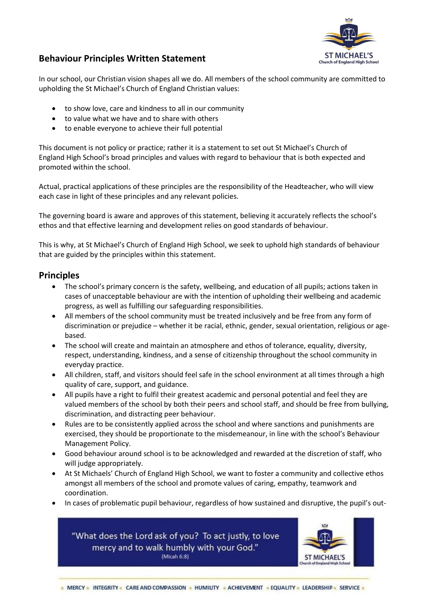

## **Behaviour Principles Written Statement**

In our school, our Christian vision shapes all we do. All members of the school community are committed to upholding the St Michael's Church of England Christian values:

- to show love, care and kindness to all in our community
- to value what we have and to share with others
- to enable everyone to achieve their full potential

This document is not policy or practice; rather it is a statement to set out St Michael's Church of England High School's broad principles and values with regard to behaviour that is both expected and promoted within the school.

Actual, practical applications of these principles are the responsibility of the Headteacher, who will view each case in light of these principles and any relevant policies.

The governing board is aware and approves of this statement, believing it accurately reflects the school's ethos and that effective learning and development relies on good standards of behaviour.

This is why, at St Michael's Church of England High School, we seek to uphold high standards of behaviour that are guided by the principles within this statement.

## **Principles**

- The school's primary concern is the safety, wellbeing, and education of all pupils; actions taken in cases of unacceptable behaviour are with the intention of upholding their wellbeing and academic progress, as well as fulfilling our safeguarding responsibilities.
- All members of the school community must be treated inclusively and be free from any form of discrimination or prejudice – whether it be racial, ethnic, gender, sexual orientation, religious or agebased.
- The school will create and maintain an atmosphere and ethos of tolerance, equality, diversity, respect, understanding, kindness, and a sense of citizenship throughout the school community in everyday practice.
- All children, staff, and visitors should feel safe in the school environment at all times through a high quality of care, support, and guidance.
- All pupils have a right to fulfil their greatest academic and personal potential and feel they are valued members of the school by both their peers and school staff, and should be free from bullying, discrimination, and distracting peer behaviour.
- Rules are to be consistently applied across the school and where sanctions and punishments are exercised, they should be proportionate to the misdemeanour, in line with the school's Behaviour Management Policy.
- Good behaviour around school is to be acknowledged and rewarded at the discretion of staff, who will judge appropriately.
- At St Michaels' Church of England High School, we want to foster a community and collective ethos amongst all members of the school and promote values of caring, empathy, teamwork and coordination.
- In cases of problematic pupil behaviour, regardless of how sustained and disruptive, the pupil's out-



"What does the Lord ask of you? To act justly, to love mercy and to walk humbly with your God." (Micah 6:8)